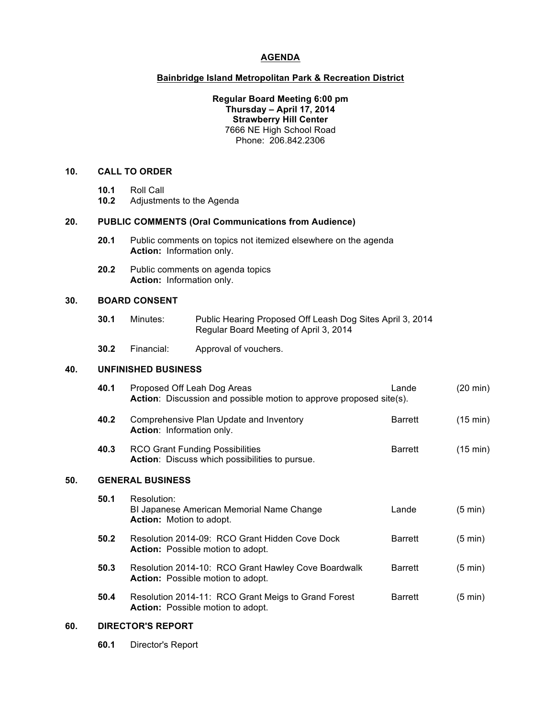# **AGENDA**

#### **Bainbridge Island Metropolitan Park & Recreation District**

#### **Regular Board Meeting 6:00 pm Thursday – April 17, 2014 Strawberry Hill Center** 7666 NE High School Road Phone: 206.842.2306

# **10. CALL TO ORDER**

- **10.1** Roll Call
- **10.2** Adjustments to the Agenda

# **20. PUBLIC COMMENTS (Oral Communications from Audience)**

- **20.1** Public comments on topics not itemized elsewhere on the agenda **Action:** Information only.
- **20.2** Public comments on agenda topics **Action:** Information only.

#### **30. BOARD CONSENT**

- **30.1** Minutes: Public Hearing Proposed Off Leash Dog Sites April 3, 2014 Regular Board Meeting of April 3, 2014
- **30.2** Financial: Approval of vouchers.

# **40. UNFINISHED BUSINESS**

|     | 40.1 | Proposed Off Leah Dog Areas<br>Action: Discussion and possible motion to approve proposed site(s). | Lande          | (20 min)           |  |  |
|-----|------|----------------------------------------------------------------------------------------------------|----------------|--------------------|--|--|
|     | 40.2 | Comprehensive Plan Update and Inventory<br>Action: Information only.                               | <b>Barrett</b> | $(15 \text{ min})$ |  |  |
|     | 40.3 | <b>RCO Grant Funding Possibilities</b><br><b>Action:</b> Discuss which possibilities to pursue.    | <b>Barrett</b> | $(15 \text{ min})$ |  |  |
| 50. |      | <b>GENERAL BUSINESS</b>                                                                            |                |                    |  |  |
|     | 50.1 | Resolution:<br>BI Japanese American Memorial Name Change<br><b>Action:</b> Motion to adopt.        | Lande          | $(5 \text{ min})$  |  |  |
|     | 50.2 | Resolution 2014-09: RCO Grant Hidden Cove Dock<br><b>Action:</b> Possible motion to adopt.         | <b>Barrett</b> | (5 min)            |  |  |
|     | 50.3 | Resolution 2014-10: RCO Grant Hawley Cove Boardwalk<br><b>Action:</b> Possible motion to adopt.    | <b>Barrett</b> | (5 min)            |  |  |
|     | 50.4 | Resolution 2014-11: RCO Grant Meigs to Grand Forest<br><b>Action:</b> Possible motion to adopt.    | <b>Barrett</b> | (5 min)            |  |  |
|     |      |                                                                                                    |                |                    |  |  |

#### **60. DIRECTOR'S REPORT**

**60.1** Director's Report